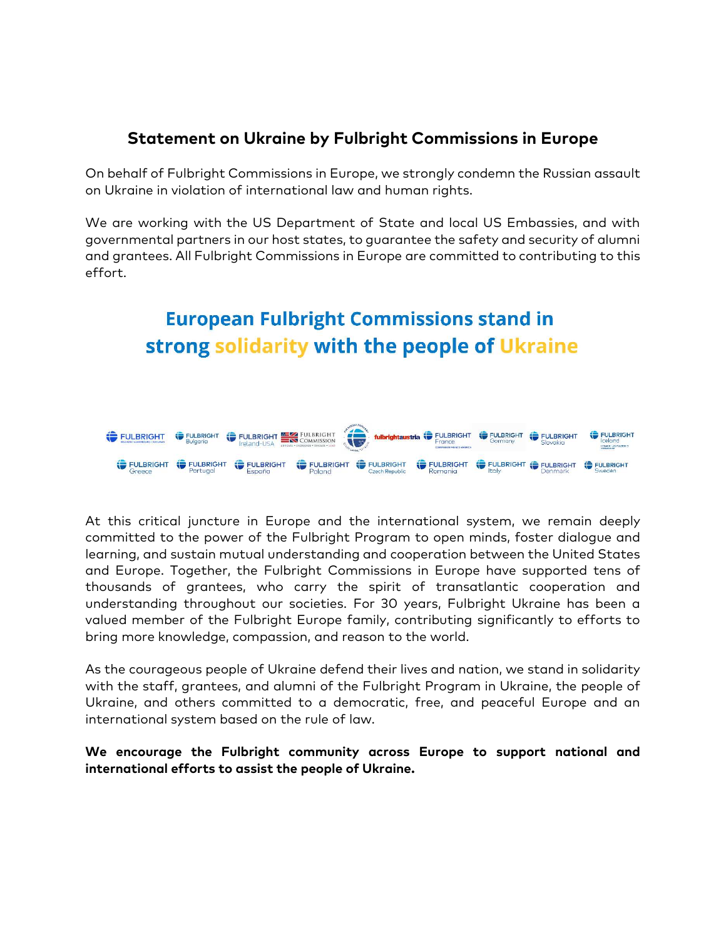## **Statement on Ukraine by Fulbright Commissions in Europe**

On behalf of Fulbright Commissions in Europe, we strongly condemn the Russian assault on Ukraine in violation of international law and human rights.

We are working with the US Department of State and local US Embassies, and with governmental partners in our host states, to guarantee the safety and security of alumni and grantees. All Fulbright Commissions in Europe are committed to contributing to this effort.

## **European Fulbright Commissions stand in** strong solidarity with the people of Ukraine



At this critical juncture in Europe and the international system, we remain deeply committed to the power of the Fulbright Program to open minds, foster dialogue and learning, and sustain mutual understanding and cooperation between the United States and Europe. Together, the Fulbright Commissions in Europe have supported tens of thousands of grantees, who carry the spirit of transatlantic cooperation and understanding throughout our societies. For 30 years, Fulbright Ukraine has been a valued member of the Fulbright Europe family, contributing significantly to efforts to bring more knowledge, compassion, and reason to the world.

As the courageous people of Ukraine defend their lives and nation, we stand in solidarity with the staff, grantees, and alumni of the Fulbright Program in Ukraine, the people of Ukraine, and others committed to a democratic, free, and peaceful Europe and an international system based on the rule of law.

**We encourage the Fulbright community across Europe to support national and international efforts to assist the people of Ukraine.**